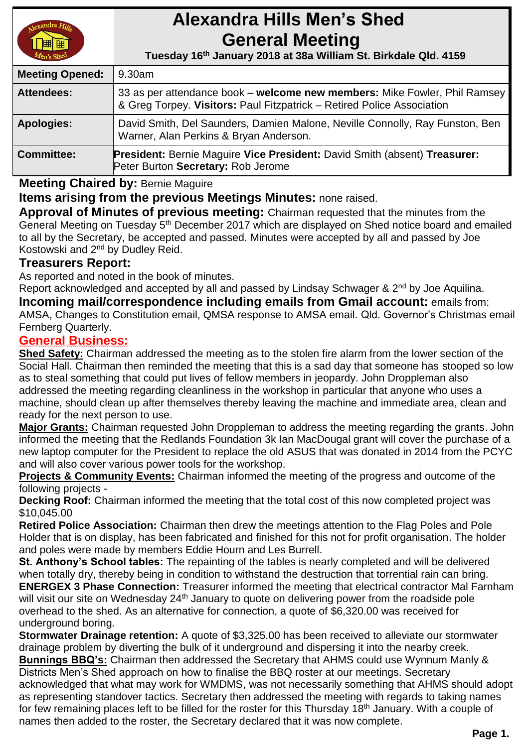

# **Alexandra Hills Men's Shed General Meeting**

 **Tuesday 16th January 2018 at 38a William St. Birkdale Qld. 4159** 

| <b>Meeting Opened:</b> | 9.30am                                                                                                                                              |  |
|------------------------|-----------------------------------------------------------------------------------------------------------------------------------------------------|--|
| <b>Attendees:</b>      | 33 as per attendance book – welcome new members: Mike Fowler, Phil Ramsey<br>& Greg Torpey. Visitors: Paul Fitzpatrick – Retired Police Association |  |
| <b>Apologies:</b>      | David Smith, Del Saunders, Damien Malone, Neville Connolly, Ray Funston, Ben<br>Warner, Alan Perkins & Bryan Anderson.                              |  |
| <b>Committee:</b>      | <b>President: Bernie Maguire Vice President: David Smith (absent) Treasurer:</b><br>Peter Burton Secretary: Rob Jerome                              |  |

## **Meeting Chaired by:** Bernie Maguire

**Items arising from the previous Meetings Minutes:** none raised.

**Approval of Minutes of previous meeting:** Chairman requested that the minutes from the General Meeting on Tuesday 5<sup>th</sup> December 2017 which are displayed on Shed notice board and emailed to all by the Secretary, be accepted and passed. Minutes were accepted by all and passed by Joe Kostowski and 2nd by Dudley Reid.

## **Treasurers Report:**

As reported and noted in the book of minutes.

Report acknowledged and accepted by all and passed by Lindsay Schwager & 2<sup>nd</sup> by Joe Aquilina.

**Incoming mail/correspondence including emails from Gmail account:** emails from: AMSA, Changes to Constitution email, QMSA response to AMSA email. Qld. Governor's Christmas email Fernberg Quarterly.

## **General Business:**

**Shed Safety:** Chairman addressed the meeting as to the stolen fire alarm from the lower section of the Social Hall. Chairman then reminded the meeting that this is a sad day that someone has stooped so low as to steal something that could put lives of fellow members in jeopardy. John Droppleman also addressed the meeting regarding cleanliness in the workshop in particular that anyone who uses a machine, should clean up after themselves thereby leaving the machine and immediate area, clean and ready for the next person to use.

**Major Grants:** Chairman requested John Droppleman to address the meeting regarding the grants. John informed the meeting that the Redlands Foundation 3k Ian MacDougal grant will cover the purchase of a new laptop computer for the President to replace the old ASUS that was donated in 2014 from the PCYC and will also cover various power tools for the workshop.

**Projects & Community Events:** Chairman informed the meeting of the progress and outcome of the following projects -

**Decking Roof:** Chairman informed the meeting that the total cost of this now completed project was \$10,045.00

**Retired Police Association:** Chairman then drew the meetings attention to the Flag Poles and Pole Holder that is on display, has been fabricated and finished for this not for profit organisation. The holder and poles were made by members Eddie Hourn and Les Burrell.

**St. Anthony's School tables:** The repainting of the tables is nearly completed and will be delivered when totally dry, thereby being in condition to withstand the destruction that torrential rain can bring. **ENERGEX 3 Phase Connection:** Treasurer informed the meeting that electrical contractor Mal Farnham will visit our site on Wednesday 24<sup>th</sup> January to quote on delivering power from the roadside pole overhead to the shed. As an alternative for connection, a quote of \$6,320.00 was received for underground boring.

**Stormwater Drainage retention:** A quote of \$3,325.00 has been received to alleviate our stormwater drainage problem by diverting the bulk of it underground and dispersing it into the nearby creek. **Bunnings BBQ's:** Chairman then addressed the Secretary that AHMS could use Wynnum Manly & Districts Men's Shed approach on how to finalise the BBQ roster at our meetings. Secretary acknowledged that what may work for WMDMS, was not necessarily something that AHMS should adopt as representing standover tactics. Secretary then addressed the meeting with regards to taking names for few remaining places left to be filled for the roster for this Thursday 18<sup>th</sup> January. With a couple of names then added to the roster, the Secretary declared that it was now complete.